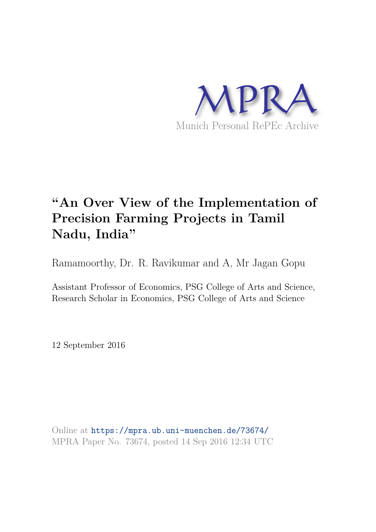

# **"An Over View of the Implementation of Precision Farming Projects in Tamil Nadu, India"**

Ramamoorthy, Dr. R. Ravikumar and A, Mr Jagan Gopu

Assistant Professor of Economics, PSG College of Arts and Science, Research Scholar in Economics, PSG College of Arts and Science

12 September 2016

Online at https://mpra.ub.uni-muenchen.de/73674/ MPRA Paper No. 73674, posted 14 Sep 2016 12:34 UTC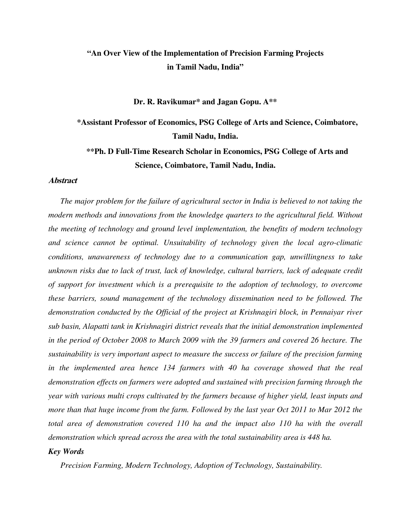## **"An Over View of the Implementation of Precision Farming Projects in Tamil Nadu, India"**

#### **Dr. R. Ravikumar\* and Jagan Gopu. A\*\***

**\*Assistant Professor of Economics, PSG College of Arts and Science, Coimbatore, Tamil Nadu, India.**

**\*\*Ph. D Full-Time Research Scholar in Economics, PSG College of Arts and Science, Coimbatore, Tamil Nadu, India.**

#### **Abstract**

*The major problem for the failure of agricultural sector in India is believed to not taking the modern methods and innovations from the knowledge quarters to the agricultural field. Without the meeting of technology and ground level implementation, the benefits of modern technology and science cannot be optimal. Unsuitability of technology given the local agro-climatic conditions, unawareness of technology due to a communication gap, unwillingness to take unknown risks due to lack of trust, lack of knowledge, cultural barriers, lack of adequate credit of support for investment which is a prerequisite to the adoption of technology, to overcome these barriers, sound management of the technology dissemination need to be followed. The demonstration conducted by the Official of the project at Krishnagiri block, in Pennaiyar river sub basin, Alapatti tank in Krishnagiri district reveals that the initial demonstration implemented in the period of October 2008 to March 2009 with the 39 farmers and covered 26 hectare. The sustainability is very important aspect to measure the success or failure of the precision farming*  in the implemented area hence 134 farmers with 40 ha coverage showed that the real *demonstration effects on farmers were adopted and sustained with precision farming through the year with various multi crops cultivated by the farmers because of higher yield, least inputs and more than that huge income from the farm. Followed by the last year Oct 2011 to Mar 2012 the total area of demonstration covered 110 ha and the impact also 110 ha with the overall demonstration which spread across the area with the total sustainability area is 448 ha.* 

#### *Key Words*

*Precision Farming, Modern Technology, Adoption of Technology, Sustainability.*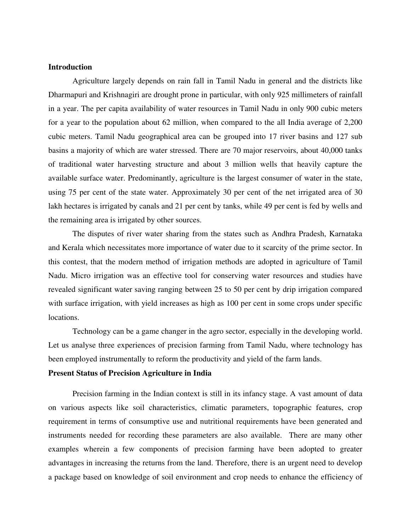#### **Introduction**

Agriculture largely depends on rain fall in Tamil Nadu in general and the districts like Dharmapuri and Krishnagiri are drought prone in particular, with only 925 millimeters of rainfall in a year. The per capita availability of water resources in Tamil Nadu in only 900 cubic meters for a year to the population about 62 million, when compared to the all India average of 2,200 cubic meters. Tamil Nadu geographical area can be grouped into 17 river basins and 127 sub basins a majority of which are water stressed. There are 70 major reservoirs, about 40,000 tanks of traditional water harvesting structure and about 3 million wells that heavily capture the available surface water. Predominantly, agriculture is the largest consumer of water in the state, using 75 per cent of the state water. Approximately 30 per cent of the net irrigated area of 30 lakh hectares is irrigated by canals and 21 per cent by tanks, while 49 per cent is fed by wells and the remaining area is irrigated by other sources.

The disputes of river water sharing from the states such as Andhra Pradesh, Karnataka and Kerala which necessitates more importance of water due to it scarcity of the prime sector. In this contest, that the modern method of irrigation methods are adopted in agriculture of Tamil Nadu. Micro irrigation was an effective tool for conserving water resources and studies have revealed significant water saving ranging between 25 to 50 per cent by drip irrigation compared with surface irrigation, with yield increases as high as 100 per cent in some crops under specific locations.

Technology can be a game changer in the agro sector, especially in the developing world. Let us analyse three experiences of precision farming from Tamil Nadu, where technology has been employed instrumentally to reform the productivity and yield of the farm lands.

#### **Present Status of Precision Agriculture in India**

Precision farming in the Indian context is still in its infancy stage. A vast amount of data on various aspects like soil characteristics, climatic parameters, topographic features, crop requirement in terms of consumptive use and nutritional requirements have been generated and instruments needed for recording these parameters are also available. There are many other examples wherein a few components of precision farming have been adopted to greater advantages in increasing the returns from the land. Therefore, there is an urgent need to develop a package based on knowledge of soil environment and crop needs to enhance the efficiency of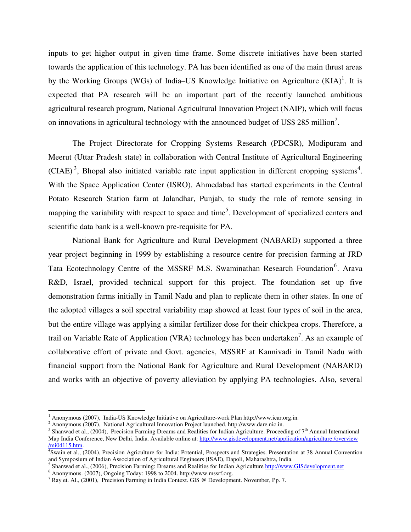inputs to get higher output in given time frame. Some discrete initiatives have been started towards the application of this technology. PA has been identified as one of the main thrust areas by the Working Groups (WGs) of India–US Knowledge Initiative on Agriculture  $(KIA)^1$ . It is expected that PA research will be an important part of the recently launched ambitious agricultural research program, National Agricultural Innovation Project (NAIP), which will focus on innovations in agricultural technology with the announced budget of US\$ 285 million<sup>2</sup>.

The Project Directorate for Cropping Systems Research (PDCSR), Modipuram and Meerut (Uttar Pradesh state) in collaboration with Central Institute of Agricultural Engineering (CIAE)<sup>3</sup>, Bhopal also initiated variable rate input application in different cropping systems<sup>4</sup>. With the Space Application Center (ISRO), Ahmedabad has started experiments in the Central Potato Research Station farm at Jalandhar, Punjab, to study the role of remote sensing in mapping the variability with respect to space and time<sup>5</sup>. Development of specialized centers and scientific data bank is a well-known pre-requisite for PA.

National Bank for Agriculture and Rural Development (NABARD) supported a three year project beginning in 1999 by establishing a resource centre for precision farming at JRD Tata Ecotechnology Centre of the MSSRF M.S. Swaminathan Research Foundation<sup>6</sup>. Arava R&D, Israel, provided technical support for this project. The foundation set up five demonstration farms initially in Tamil Nadu and plan to replicate them in other states. In one of the adopted villages a soil spectral variability map showed at least four types of soil in the area, but the entire village was applying a similar fertilizer dose for their chickpea crops. Therefore, a trail on Variable Rate of Application (VRA) technology has been undertaken<sup>7</sup>. As an example of collaborative effort of private and Govt. agencies, MSSRF at Kannivadi in Tamil Nadu with financial support from the National Bank for Agriculture and Rural Development (NABARD) and works with an objective of poverty alleviation by applying PA technologies. Also, several

<sup>&</sup>lt;sup>1</sup> Anonymous (2007), India-US Knowledge Initiative on Agriculture-work Plan http://www.icar.org.in.

<sup>2</sup> Anonymous (2007), National Agricultural Innovation Project launched. http://www.dare.nic.in.

<sup>&</sup>lt;sup>3</sup> Shanwad et al., (2004), Precision Farming Dreams and Realities for Indian Agriculture. Proceeding of 7<sup>th</sup> Annual International Map India Conference, New Delhi, India. Available online at: http://www.gisdevelopment.net/application/agriculture /overview /mi04115.htm.

<sup>4</sup> Swain et al., (2004), Precision Agriculture for India: Potential, Prospects and Strategies. Presentation at 38 Annual Convention and Symposium of Indian Association of Agricultural Engineers (ISAE), Dapoli, Maharashtra, India.

<sup>&</sup>lt;sup>5</sup> Shanwad et al., (2006), Precision Farming: Dreams and Realities for Indian Agriculture http://www.GISdevelopment.net

 $^6$  Anonymous. (2007), Ongoing Today: 1998 to 2004. http://www.mssrf.org.

<sup>7</sup> Ray et. Al., (2001), Precision Farming in India Context. GIS @ Development. November, Pp. 7.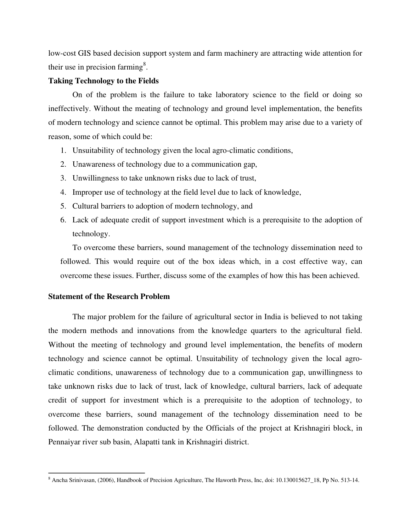low-cost GIS based decision support system and farm machinery are attracting wide attention for their use in precision farming<sup>8</sup>.

#### **Taking Technology to the Fields**

On of the problem is the failure to take laboratory science to the field or doing so ineffectively. Without the meating of technology and ground level implementation, the benefits of modern technology and science cannot be optimal. This problem may arise due to a variety of reason, some of which could be:

- 1. Unsuitability of technology given the local agro-climatic conditions,
- 2. Unawareness of technology due to a communication gap,
- 3. Unwillingness to take unknown risks due to lack of trust,
- 4. Improper use of technology at the field level due to lack of knowledge,
- 5. Cultural barriers to adoption of modern technology, and
- 6. Lack of adequate credit of support investment which is a prerequisite to the adoption of technology.

To overcome these barriers, sound management of the technology dissemination need to followed. This would require out of the box ideas which, in a cost effective way, can overcome these issues. Further, discuss some of the examples of how this has been achieved.

#### **Statement of the Research Problem**

The major problem for the failure of agricultural sector in India is believed to not taking the modern methods and innovations from the knowledge quarters to the agricultural field. Without the meeting of technology and ground level implementation, the benefits of modern technology and science cannot be optimal. Unsuitability of technology given the local agroclimatic conditions, unawareness of technology due to a communication gap, unwillingness to take unknown risks due to lack of trust, lack of knowledge, cultural barriers, lack of adequate credit of support for investment which is a prerequisite to the adoption of technology, to overcome these barriers, sound management of the technology dissemination need to be followed. The demonstration conducted by the Officials of the project at Krishnagiri block, in Pennaiyar river sub basin, Alapatti tank in Krishnagiri district.

<sup>&</sup>lt;sup>8</sup> Ancha Srinivasan, (2006), Handbook of Precision Agriculture, The Haworth Press, Inc, doi: 10.130015627\_18, Pp No. 513-14.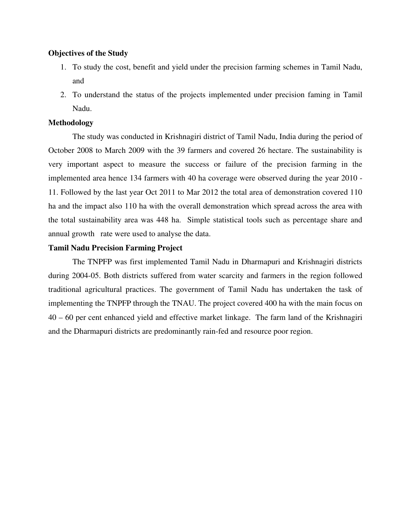#### **Objectives of the Study**

- 1. To study the cost, benefit and yield under the precision farming schemes in Tamil Nadu, and
- 2. To understand the status of the projects implemented under precision faming in Tamil Nadu.

#### **Methodology**

The study was conducted in Krishnagiri district of Tamil Nadu, India during the period of October 2008 to March 2009 with the 39 farmers and covered 26 hectare. The sustainability is very important aspect to measure the success or failure of the precision farming in the implemented area hence 134 farmers with 40 ha coverage were observed during the year 2010 - 11. Followed by the last year Oct 2011 to Mar 2012 the total area of demonstration covered 110 ha and the impact also 110 ha with the overall demonstration which spread across the area with the total sustainability area was 448 ha. Simple statistical tools such as percentage share and annual growth rate were used to analyse the data.

#### **Tamil Nadu Precision Farming Project**

The TNPFP was first implemented Tamil Nadu in Dharmapuri and Krishnagiri districts during 2004-05. Both districts suffered from water scarcity and farmers in the region followed traditional agricultural practices. The government of Tamil Nadu has undertaken the task of implementing the TNPFP through the TNAU. The project covered 400 ha with the main focus on 40 – 60 per cent enhanced yield and effective market linkage. The farm land of the Krishnagiri and the Dharmapuri districts are predominantly rain-fed and resource poor region.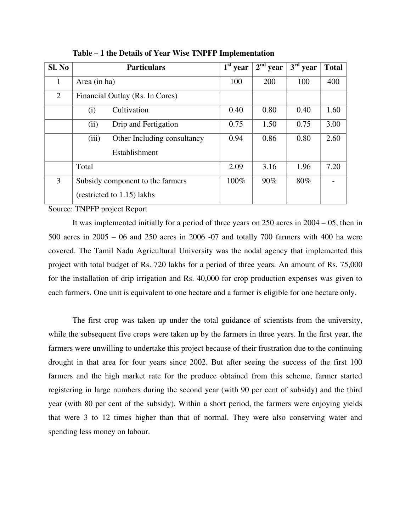| Sl. No         | <b>Particulars</b>                                             | $1st$ year | $2nd$ year | $3rd$ year | <b>Total</b> |
|----------------|----------------------------------------------------------------|------------|------------|------------|--------------|
| 1              | Area (in ha)                                                   | 100        | 200        | 100        | 400          |
| $\overline{2}$ | Financial Outlay (Rs. In Cores)                                |            |            |            |              |
|                | Cultivation<br>(i)                                             | 0.40       | 0.80       | 0.40       | 1.60         |
|                | Drip and Fertigation<br>(ii)                                   | 0.75       | 1.50       | 0.75       | 3.00         |
|                | (iii)<br>Other Including consultancy<br>Establishment          | 0.94       | 0.86       | 0.80       | 2.60         |
|                |                                                                |            |            |            |              |
|                | Total                                                          | 2.09       | 3.16       | 1.96       | 7.20         |
| 3              | Subsidy component to the farmers<br>(restricted to 1.15) lakhs | 100%       | 90%        | 80%        |              |

**Table – 1 the Details of Year Wise TNPFP Implementation** 

Source: TNPFP project Report

It was implemented initially for a period of three years on 250 acres in 2004 – 05, then in 500 acres in 2005 – 06 and 250 acres in 2006 -07 and totally 700 farmers with 400 ha were covered. The Tamil Nadu Agricultural University was the nodal agency that implemented this project with total budget of Rs. 720 lakhs for a period of three years. An amount of Rs. 75,000 for the installation of drip irrigation and Rs. 40,000 for crop production expenses was given to each farmers. One unit is equivalent to one hectare and a farmer is eligible for one hectare only.

The first crop was taken up under the total guidance of scientists from the university, while the subsequent five crops were taken up by the farmers in three years. In the first year, the farmers were unwilling to undertake this project because of their frustration due to the continuing drought in that area for four years since 2002. But after seeing the success of the first 100 farmers and the high market rate for the produce obtained from this scheme, farmer started registering in large numbers during the second year (with 90 per cent of subsidy) and the third year (with 80 per cent of the subsidy). Within a short period, the farmers were enjoying yields that were 3 to 12 times higher than that of normal. They were also conserving water and spending less money on labour.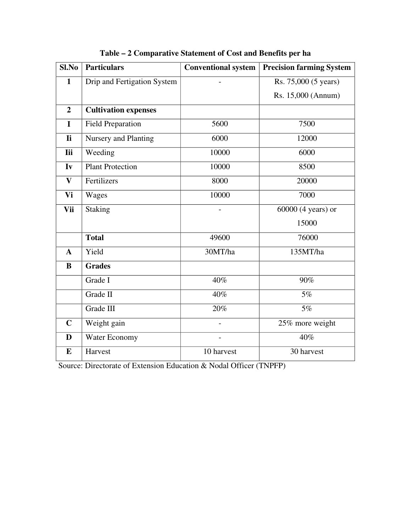| $Sl$ .No       | <b>Particulars</b>          | <b>Conventional system</b> | <b>Precision farming System</b> |
|----------------|-----------------------------|----------------------------|---------------------------------|
| $\mathbf{1}$   | Drip and Fertigation System |                            | Rs. 75,000 (5 years)            |
|                |                             |                            | Rs. 15,000 (Annum)              |
| $\overline{2}$ | <b>Cultivation expenses</b> |                            |                                 |
| $\mathbf I$    | <b>Field Preparation</b>    | 5600                       | 7500                            |
| <b>Ii</b>      | <b>Nursery and Planting</b> | 6000                       | 12000                           |
| <b>Iii</b>     | Weeding                     | 10000                      | 6000                            |
| Iv             | <b>Plant Protection</b>     | 10000                      | 8500                            |
| $\mathbf{V}$   | Fertilizers                 | 8000                       | 20000                           |
| Vi             | Wages                       | 10000                      | 7000                            |
| Vii            | <b>Staking</b>              |                            | $60000$ (4 years) or            |
|                |                             |                            | 15000                           |
|                | <b>Total</b>                | 49600                      | 76000                           |
| $\mathbf{A}$   | Yield                       | 30MT/ha                    | 135MT/ha                        |
| B              | <b>Grades</b>               |                            |                                 |
|                | Grade I                     | 40%                        | 90%                             |
|                | Grade II                    | 40%                        | 5%                              |
|                | Grade III                   | 20%                        | 5%                              |
| $\mathbf C$    | Weight gain                 |                            | 25% more weight                 |
| D              | Water Economy               |                            | 40%                             |
| $\bf{E}$       | Harvest                     | 10 harvest                 | 30 harvest                      |

## **Table – 2 Comparative Statement of Cost and Benefits per ha**

Source: Directorate of Extension Education & Nodal Officer (TNPFP)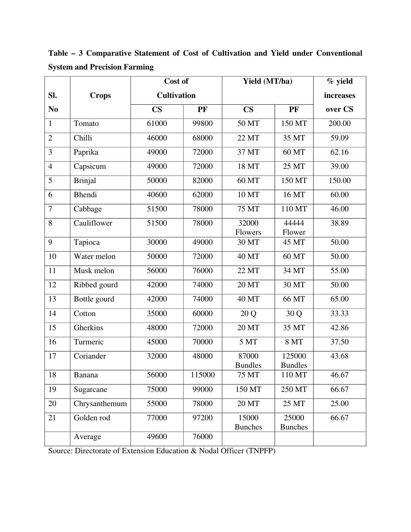|                |                | Cost of            |        | Yield (MT/ha)           | % yield                  |         |
|----------------|----------------|--------------------|--------|-------------------------|--------------------------|---------|
| SI.            | <b>Crops</b>   | <b>Cultivation</b> |        |                         |                          |         |
| N <sub>0</sub> |                | $\mathbf{CS}$      | PF     | $\mathbf{CS}$           | PF                       | over CS |
| $\mathbf{1}$   | Tomato         | 61000              | 99800  | 50 MT                   | 150 MT                   | 200.00  |
| $\overline{2}$ | Chilli         | 46000              | 68000  | 22 MT                   | 35 MT                    | 59.09   |
| 3              | Paprika        | 49000              | 72000  | 37 MT                   | 60 MT                    | 62.16   |
| $\overline{4}$ | Capsicum       | 49000              | 72000  | 18 MT                   | 25 MT                    | 39.00   |
| 5              | <b>Brinjal</b> | 50000              | 82000  | 60 MT                   | 150 MT                   | 150.00  |
| 6              | <b>Bhendi</b>  | 40600              | 62000  | 10 MT                   | 16 MT                    | 60.00   |
| 7              | Cabbage        | 51500              | 78000  | 75 MT                   | 110 MT                   | 46.00   |
| 8              | Cauliflower    | 51500              | 78000  | 32000<br>Flowers        | 44444<br>Flower          | 38.89   |
| 9              | Tapioca        | 30000              | 49000  | 30 MT                   | 45 MT                    | 50.00   |
| 10             | Water melon    | 50000              | 72000  | <b>40 MT</b>            | 60 MT                    | 50.00   |
| 11             | Musk melon     | 56000              | 76000  | 22 MT                   | 34 MT                    | 55.00   |
| 12             | Ribbed gourd   | 42000              | 74000  | 20 MT                   | 30 MT                    | 50.00   |
| 13             | Bottle gourd   | 42000              | 74000  | <b>40 MT</b>            | 66 MT                    | 65.00   |
| 14             | Cotton         | 35000              | 60000  | 20 Q                    | 30 Q                     | 33.33   |
| 15             | Gherkins       | 48000              | 72000  | 20 MT                   | 35 MT                    | 42.86   |
| 16             | Turmeric       | 45000              | 70000  | 5 MT                    | <b>8 MT</b>              | 37.50   |
| 17             | Coriander      | 32000              | 48000  | 87000<br><b>Bundles</b> | 125000<br><b>Bundles</b> | 43.68   |
| 18             | Banana         | 56000              | 115000 | 75 MT                   | 110 MT                   | 46.67   |
| 19             | Sugarcane      | 75000              | 99000  | 150 MT                  | 250 MT                   | 66.67   |
| 20             | Chrysanthemum  | 55000              | 78000  | <b>20 MT</b>            | 25 MT                    | 25.00   |
| 21             | Golden rod     | 77000              | 97200  | 15000<br><b>Bunches</b> | 25000<br><b>Bunches</b>  | 66.67   |
|                | Average        | 49600              | 76000  |                         |                          |         |

**Table – 3 Comparative Statement of Cost of Cultivation and Yield under Conventional System and Precision Farming**

Source: Directorate of Extension Education & Nodal Officer (TNPFP)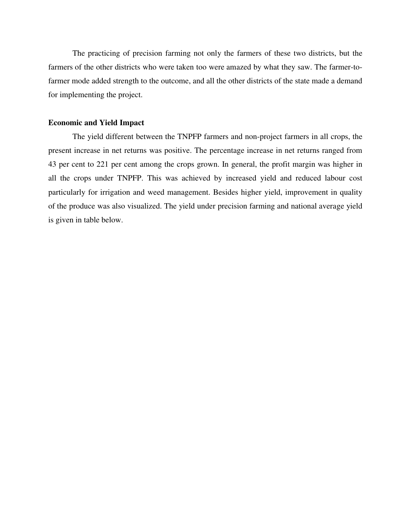The practicing of precision farming not only the farmers of these two districts, but the farmers of the other districts who were taken too were amazed by what they saw. The farmer-tofarmer mode added strength to the outcome, and all the other districts of the state made a demand for implementing the project.

## **Economic and Yield Impact**

The yield different between the TNPFP farmers and non-project farmers in all crops, the present increase in net returns was positive. The percentage increase in net returns ranged from 43 per cent to 221 per cent among the crops grown. In general, the profit margin was higher in all the crops under TNPFP. This was achieved by increased yield and reduced labour cost particularly for irrigation and weed management. Besides higher yield, improvement in quality of the produce was also visualized. The yield under precision farming and national average yield is given in table below.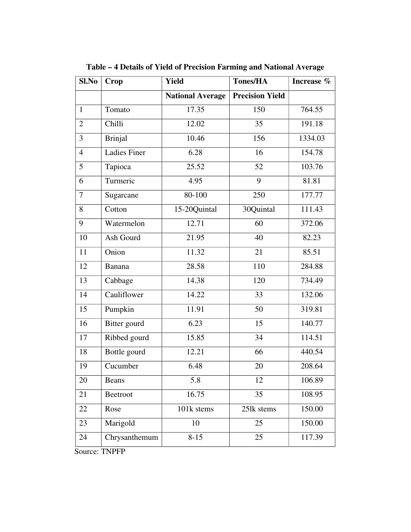| Crop                | <b>Yield</b>            | <b>Tones/HA</b>        | Increase % |
|---------------------|-------------------------|------------------------|------------|
|                     | <b>National Average</b> | <b>Precision Yield</b> |            |
| Tomato              | 17.35                   | 150                    | 764.55     |
| Chilli              | 12.02                   | 35                     | 191.18     |
| <b>Brinjal</b>      | 10.46                   | 156                    | 1334.03    |
| <b>Ladies Finer</b> | 6.28                    | 16                     | 154.78     |
| Tapioca             | 25.52                   | 52                     | 103.76     |
| Turmeric            | 4.95                    | 9                      | 81.81      |
| Sugarcane           | 80-100                  | 250                    | 177.77     |
| Cotton              | 15-20Quintal            | 30Quintal              | 111.43     |
| Watermelon          | 12.71                   | 60                     | 372.06     |
| Ash Gourd           | 21.95                   | 40                     | 82.23      |
| Onion               | 11.32                   | 21                     | 85.51      |
| Banana              | 28.58                   | 110                    | 284.88     |
| Cabbage             | 14.38                   | 120                    | 734.49     |
| Cauliflower         | 14.22                   | 33                     | 132.06     |
| Pumpkin             | 11.91                   | 50                     | 319.81     |
| Bitter gourd        | 6.23                    | 15                     | 140.77     |
| Ribbed gourd        | 15.85                   | 34                     | 114.51     |
| Bottle gourd        | 12.21                   | 66                     | 440.54     |
| Cucumber            | 6.48                    | 20                     | 208.64     |
| <b>Beans</b>        | 5.8                     | 12                     | 106.89     |
| Beetroot            | 16.75                   | 35                     | 108.95     |
| Rose                | 101k stems              | 251k stems             | 150.00     |
| Marigold            | 10                      | 25                     | 150.00     |
| Chrysanthemum       | $8 - 15$                | 25                     | 117.39     |
|                     |                         |                        |            |

**Table – 4 Details of Yield of Precision Farming and National Average**

Source: TNPFP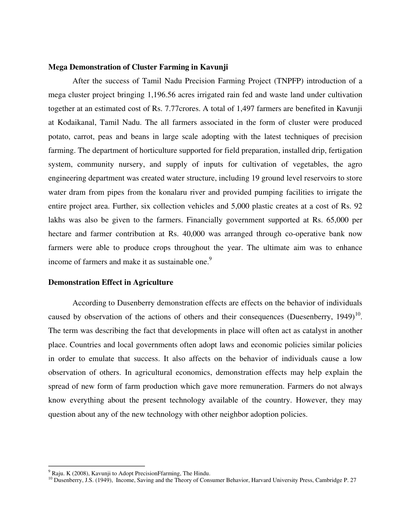#### **Mega Demonstration of Cluster Farming in Kavunji**

After the success of Tamil Nadu Precision Farming Project (TNPFP) introduction of a mega cluster project bringing 1,196.56 acres irrigated rain fed and waste land under cultivation together at an estimated cost of Rs. 7.77crores. A total of 1,497 farmers are benefited in Kavunji at Kodaikanal, Tamil Nadu. The all farmers associated in the form of cluster were produced potato, carrot, peas and beans in large scale adopting with the latest techniques of precision farming. The department of horticulture supported for field preparation, installed drip, fertigation system, community nursery, and supply of inputs for cultivation of vegetables, the agro engineering department was created water structure, including 19 ground level reservoirs to store water dram from pipes from the konalaru river and provided pumping facilities to irrigate the entire project area. Further, six collection vehicles and 5,000 plastic creates at a cost of Rs. 92 lakhs was also be given to the farmers. Financially government supported at Rs. 65,000 per hectare and farmer contribution at Rs. 40,000 was arranged through co-operative bank now farmers were able to produce crops throughout the year. The ultimate aim was to enhance income of farmers and make it as sustainable one.<sup>9</sup>

#### **Demonstration Effect in Agriculture**

According to Dusenberry demonstration effects are effects on the behavior of individuals caused by observation of the actions of others and their consequences (Duesenberry, 1949)<sup>10</sup>. The term was describing the fact that developments in place will often act as catalyst in another place. Countries and local governments often adopt laws and economic policies similar policies in order to emulate that success. It also affects on the behavior of individuals cause a low observation of others. In agricultural economics, demonstration effects may help explain the spread of new form of farm production which gave more remuneration. Farmers do not always know everything about the present technology available of the country. However, they may question about any of the new technology with other neighbor adoption policies.

 $9$  Raju. K (2008), Kavunji to Adopt PrecisionFfarming, The Hindu.

<sup>&</sup>lt;sup>10</sup> Dusenberry, J.S. (1949), Income, Saving and the Theory of Consumer Behavior, Harvard University Press, Cambridge P. 27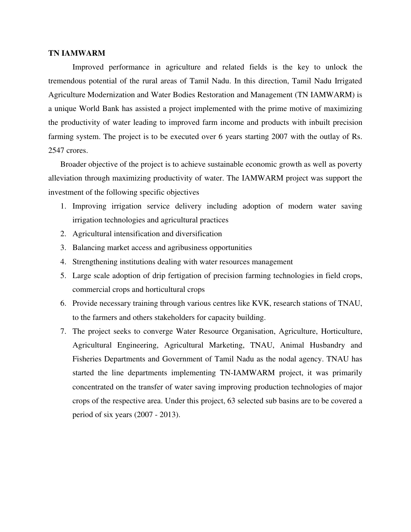#### **TN IAMWARM**

Improved performance in agriculture and related fields is the key to unlock the tremendous potential of the rural areas of Tamil Nadu. In this direction, Tamil Nadu Irrigated Agriculture Modernization and Water Bodies Restoration and Management (TN IAMWARM) is a unique World Bank has assisted a project implemented with the prime motive of maximizing the productivity of water leading to improved farm income and products with inbuilt precision farming system. The project is to be executed over 6 years starting 2007 with the outlay of Rs. 2547 crores.

Broader objective of the project is to achieve sustainable economic growth as well as poverty alleviation through maximizing productivity of water. The IAMWARM project was support the investment of the following specific objectives

- 1. Improving irrigation service delivery including adoption of modern water saving irrigation technologies and agricultural practices
- 2. Agricultural intensification and diversification
- 3. Balancing market access and agribusiness opportunities
- 4. Strengthening institutions dealing with water resources management
- 5. Large scale adoption of drip fertigation of precision farming technologies in field crops, commercial crops and horticultural crops
- 6. Provide necessary training through various centres like KVK, research stations of TNAU, to the farmers and others stakeholders for capacity building.
- 7. The project seeks to converge Water Resource Organisation, Agriculture, Horticulture, Agricultural Engineering, Agricultural Marketing, TNAU, Animal Husbandry and Fisheries Departments and Government of Tamil Nadu as the nodal agency. TNAU has started the line departments implementing TN-IAMWARM project, it was primarily concentrated on the transfer of water saving improving production technologies of major crops of the respective area. Under this project, 63 selected sub basins are to be covered a period of six years (2007 - 2013).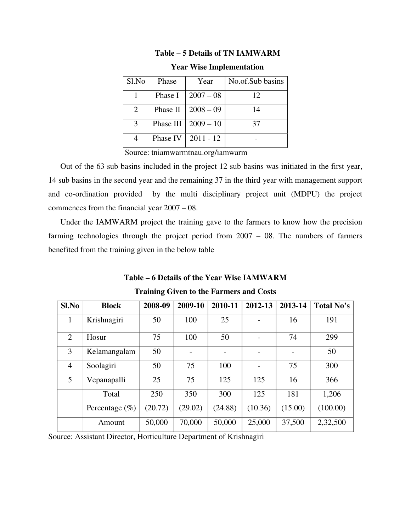|--|

| Sl.No         | Phase     | Year        | No.of.Sub basins |
|---------------|-----------|-------------|------------------|
|               | Phase I   | $2007 - 08$ | 12               |
| 2             | Phase II  | $2008 - 09$ | 14               |
| $\mathcal{F}$ | Phase III | $2009 - 10$ | 37               |
|               | Phase IV  | $2011 - 12$ |                  |

**Year Wise Implementation**

Source: tniamwarmtnau.org/iamwarm

Out of the 63 sub basins included in the project 12 sub basins was initiated in the first year, 14 sub basins in the second year and the remaining 37 in the third year with management support and co-ordination provided by the multi disciplinary project unit (MDPU) the project commences from the financial year 2007 – 08.

Under the IAMWARM project the training gave to the farmers to know how the precision farming technologies through the project period from 2007 – 08. The numbers of farmers benefited from the training given in the below table

**Table – 6 Details of the Year Wise IAMWARM**

| Sl.No          | <b>Block</b>       | 2008-09 | 2009-10 | 2010-11 | 2012-13 | 2013-14 | Total No's |
|----------------|--------------------|---------|---------|---------|---------|---------|------------|
| 1              | Krishnagiri        | 50      | 100     | 25      |         | 16      | 191        |
| $\overline{2}$ | Hosur              | 75      | 100     | 50      |         | 74      | 299        |
| 3              | Kelamangalam       | 50      |         |         |         |         | 50         |
| $\overline{4}$ | Soolagiri          | 50      | 75      | 100     |         | 75      | 300        |
| 5              | Vepanapalli        | 25      | 75      | 125     | 125     | 16      | 366        |
|                | Total              | 250     | 350     | 300     | 125     | 181     | 1,206      |
|                | Percentage $(\% )$ | (20.72) | (29.02) | (24.88) | (10.36) | (15.00) | (100.00)   |
|                | Amount             | 50,000  | 70,000  | 50,000  | 25,000  | 37,500  | 2,32,500   |

**Training Given to the Farmers and Costs**

Source: Assistant Director, Horticulture Department of Krishnagiri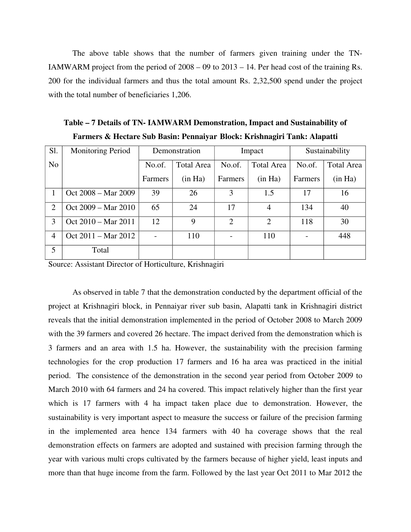The above table shows that the number of farmers given training under the TN-IAMWARM project from the period of  $2008 - 09$  to  $2013 - 14$ . Per head cost of the training Rs. 200 for the individual farmers and thus the total amount Rs. 2,32,500 spend under the project with the total number of beneficiaries 1,206.

| Sl.            | <b>Monitoring Period</b>      |         | Demonstration     | Impact                      |                   | Sustainability |                   |
|----------------|-------------------------------|---------|-------------------|-----------------------------|-------------------|----------------|-------------------|
| N <sub>o</sub> |                               | No.of.  | <b>Total Area</b> | No.of.                      | <b>Total Area</b> | No.of.         | <b>Total Area</b> |
|                |                               | Farmers | (in Ha)           | <b>Farmers</b>              | (in Ha)           | Farmers        | (in Ha)           |
|                | Oct 2008 - Mar 2009           | 39      | 26                | 3                           | 1.5               | 17             | 16                |
| 2              | Oct 2009 – Mar 2010           | 65      | 24                | 17                          | $\overline{4}$    | 134            | 40                |
| 3              | Oct 2010 – Mar 2011           | 12      | 9                 | $\mathcal{D}_{\mathcal{L}}$ | $\overline{2}$    | 118            | 30                |
| $\overline{4}$ | Oct $2011 - \text{Mar } 2012$ |         | 110               |                             | 110               |                | 448               |
| 5              | Total                         |         |                   |                             |                   |                |                   |

**Table – 7 Details of TN- IAMWARM Demonstration, Impact and Sustainability of Farmers & Hectare Sub Basin: Pennaiyar Block: Krishnagiri Tank: Alapatti**

Source: Assistant Director of Horticulture, Krishnagiri

As observed in table 7 that the demonstration conducted by the department official of the project at Krishnagiri block, in Pennaiyar river sub basin, Alapatti tank in Krishnagiri district reveals that the initial demonstration implemented in the period of October 2008 to March 2009 with the 39 farmers and covered 26 hectare. The impact derived from the demonstration which is 3 farmers and an area with 1.5 ha. However, the sustainability with the precision farming technologies for the crop production 17 farmers and 16 ha area was practiced in the initial period. The consistence of the demonstration in the second year period from October 2009 to March 2010 with 64 farmers and 24 ha covered. This impact relatively higher than the first year which is 17 farmers with 4 ha impact taken place due to demonstration. However, the sustainability is very important aspect to measure the success or failure of the precision farming in the implemented area hence 134 farmers with 40 ha coverage shows that the real demonstration effects on farmers are adopted and sustained with precision farming through the year with various multi crops cultivated by the farmers because of higher yield, least inputs and more than that huge income from the farm. Followed by the last year Oct 2011 to Mar 2012 the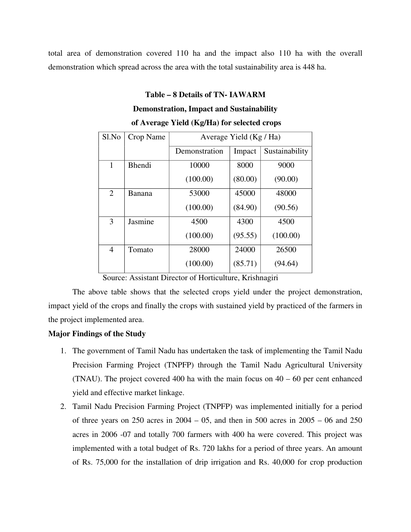total area of demonstration covered 110 ha and the impact also 110 ha with the overall demonstration which spread across the area with the total sustainability area is 448 ha.

# **Table – 8 Details of TN- IAWARM Demonstration, Impact and Sustainability of Average Yield (Kg/Ha) for selected crops**

| Sl.No          | Crop Name     | Average Yield (Kg / Ha) |         |                |  |  |  |
|----------------|---------------|-------------------------|---------|----------------|--|--|--|
|                |               |                         |         |                |  |  |  |
|                |               | Demonstration           | Impact  | Sustainability |  |  |  |
|                |               |                         |         |                |  |  |  |
| 1              | <b>Bhendi</b> | 10000                   | 8000    | 9000           |  |  |  |
|                |               | (100.00)                | (80.00) | (90.00)        |  |  |  |
| $\overline{2}$ | Banana        | 53000                   | 45000   | 48000          |  |  |  |
|                |               |                         |         |                |  |  |  |
|                |               | (100.00)                | (84.90) | (90.56)        |  |  |  |
| 3              | Jasmine       | 4500                    | 4300    | 4500           |  |  |  |
|                |               | (100.00)                | (95.55) | (100.00)       |  |  |  |
| 4              | Tomato        | 28000                   | 24000   | 26500          |  |  |  |
|                |               | (100.00)                | (85.71) | (94.64)        |  |  |  |

Source: Assistant Director of Horticulture, Krishnagiri

The above table shows that the selected crops yield under the project demonstration, impact yield of the crops and finally the crops with sustained yield by practiced of the farmers in the project implemented area.

## **Major Findings of the Study**

- 1. The government of Tamil Nadu has undertaken the task of implementing the Tamil Nadu Precision Farming Project (TNPFP) through the Tamil Nadu Agricultural University (TNAU). The project covered 400 ha with the main focus on 40 – 60 per cent enhanced yield and effective market linkage.
- 2. Tamil Nadu Precision Farming Project (TNPFP) was implemented initially for a period of three years on 250 acres in 2004 – 05, and then in 500 acres in 2005 – 06 and 250 acres in 2006 -07 and totally 700 farmers with 400 ha were covered. This project was implemented with a total budget of Rs. 720 lakhs for a period of three years. An amount of Rs. 75,000 for the installation of drip irrigation and Rs. 40,000 for crop production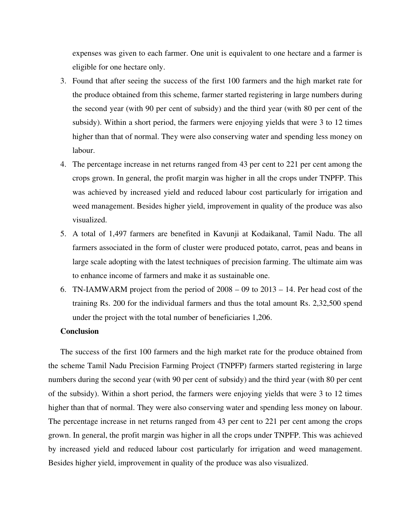expenses was given to each farmer. One unit is equivalent to one hectare and a farmer is eligible for one hectare only.

- 3. Found that after seeing the success of the first 100 farmers and the high market rate for the produce obtained from this scheme, farmer started registering in large numbers during the second year (with 90 per cent of subsidy) and the third year (with 80 per cent of the subsidy). Within a short period, the farmers were enjoying yields that were 3 to 12 times higher than that of normal. They were also conserving water and spending less money on labour.
- 4. The percentage increase in net returns ranged from 43 per cent to 221 per cent among the crops grown. In general, the profit margin was higher in all the crops under TNPFP. This was achieved by increased yield and reduced labour cost particularly for irrigation and weed management. Besides higher yield, improvement in quality of the produce was also visualized.
- 5. A total of 1,497 farmers are benefited in Kavunji at Kodaikanal, Tamil Nadu. The all farmers associated in the form of cluster were produced potato, carrot, peas and beans in large scale adopting with the latest techniques of precision farming. The ultimate aim was to enhance income of farmers and make it as sustainable one.
- 6. TN-IAMWARM project from the period of 2008 09 to 2013 14. Per head cost of the training Rs. 200 for the individual farmers and thus the total amount Rs. 2,32,500 spend under the project with the total number of beneficiaries 1,206.

#### **Conclusion**

The success of the first 100 farmers and the high market rate for the produce obtained from the scheme Tamil Nadu Precision Farming Project (TNPFP) farmers started registering in large numbers during the second year (with 90 per cent of subsidy) and the third year (with 80 per cent of the subsidy). Within a short period, the farmers were enjoying yields that were 3 to 12 times higher than that of normal. They were also conserving water and spending less money on labour. The percentage increase in net returns ranged from 43 per cent to 221 per cent among the crops grown. In general, the profit margin was higher in all the crops under TNPFP. This was achieved by increased yield and reduced labour cost particularly for irrigation and weed management. Besides higher yield, improvement in quality of the produce was also visualized.